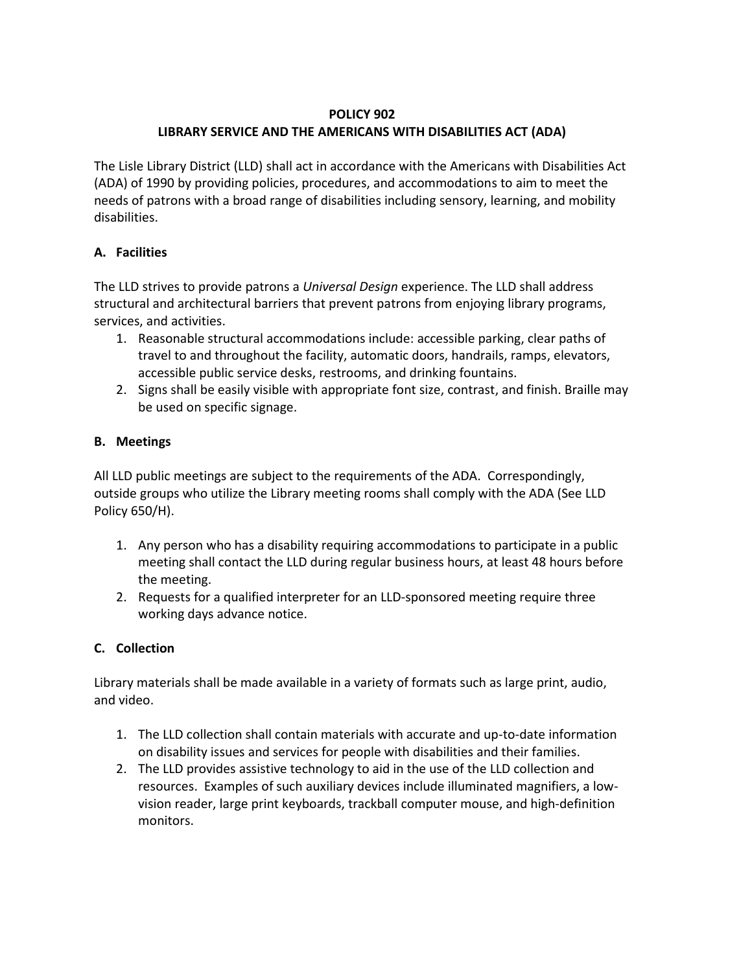#### **POLICY 902**

# **LIBRARY SERVICE AND THE AMERICANS WITH DISABILITIES ACT (ADA)**

The Lisle Library District (LLD) shall act in accordance with the Americans with Disabilities Act (ADA) of 1990 by providing policies, procedures, and accommodations to aim to meet the needs of patrons with a broad range of disabilities including sensory, learning, and mobility disabilities.

# **A. Facilities**

The LLD strives to provide patrons a *Universal Design* experience. The LLD shall address structural and architectural barriers that prevent patrons from enjoying library programs, services, and activities.

- 1. Reasonable structural accommodations include: accessible parking, clear paths of travel to and throughout the facility, automatic doors, handrails, ramps, elevators, accessible public service desks, restrooms, and drinking fountains.
- 2. Signs shall be easily visible with appropriate font size, contrast, and finish. Braille may be used on specific signage.

# **B. Meetings**

All LLD public meetings are subject to the requirements of the ADA. Correspondingly, outside groups who utilize the Library meeting rooms shall comply with the ADA (See LLD Policy 650/H).

- 1. Any person who has a disability requiring accommodations to participate in a public meeting shall contact the LLD during regular business hours, at least 48 hours before the meeting.
- 2. Requests for a qualified interpreter for an LLD-sponsored meeting require three working days advance notice.

# **C. Collection**

Library materials shall be made available in a variety of formats such as large print, audio, and video.

- 1. The LLD collection shall contain materials with accurate and up-to-date information on disability issues and services for people with disabilities and their families.
- 2. The LLD provides assistive technology to aid in the use of the LLD collection and resources. Examples of such auxiliary devices include illuminated magnifiers, a lowvision reader, large print keyboards, trackball computer mouse, and high-definition monitors.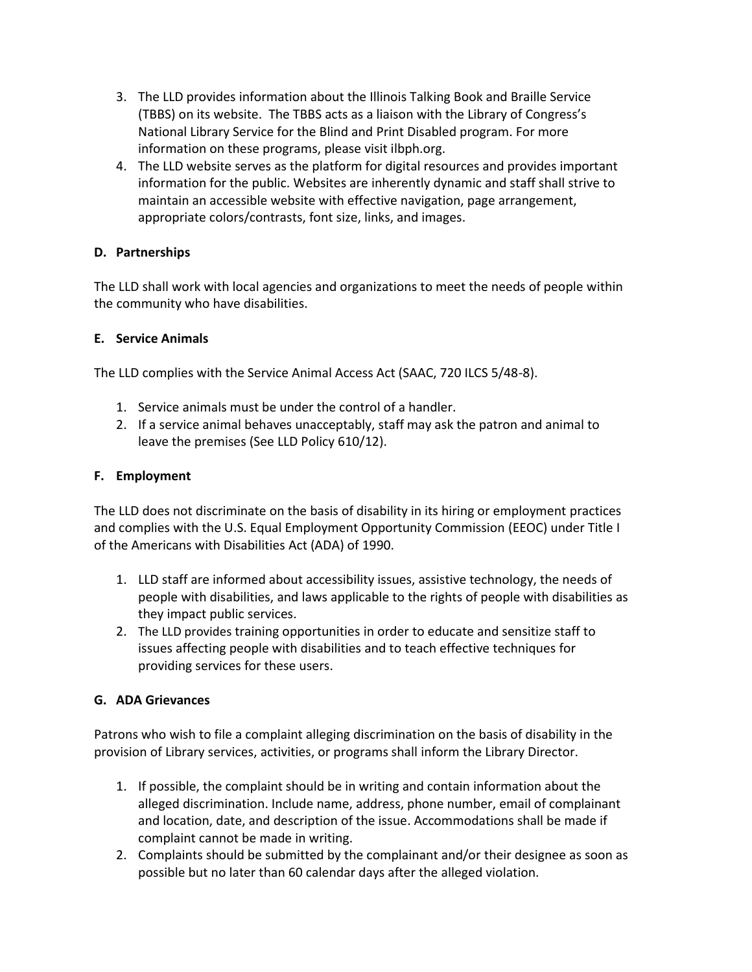- 3. The LLD provides information about the Illinois Talking Book and Braille Service (TBBS) on its website. The TBBS acts as a liaison with the Library of Congress's National Library Service for the Blind and Print Disabled program. For more information on these programs, please visit ilbph.org.
- 4. The LLD website serves as the platform for digital resources and provides important information for the public. Websites are inherently dynamic and staff shall strive to maintain an accessible website with effective navigation, page arrangement, appropriate colors/contrasts, font size, links, and images.

### **D. Partnerships**

The LLD shall work with local agencies and organizations to meet the needs of people within the community who have disabilities.

#### **E. Service Animals**

The LLD complies with the Service Animal Access Act (SAAC, 720 ILCS 5/48-8).

- 1. Service animals must be under the control of a handler.
- 2. If a service animal behaves unacceptably, staff may ask the patron and animal to leave the premises (See LLD Policy 610/12).

#### **F. Employment**

The LLD does not discriminate on the basis of disability in its hiring or employment practices and complies with the U.S. Equal Employment Opportunity Commission (EEOC) under Title I of the Americans with Disabilities Act (ADA) of 1990.

- 1. LLD staff are informed about accessibility issues, assistive technology, the needs of people with disabilities, and laws applicable to the rights of people with disabilities as they impact public services.
- 2. The LLD provides training opportunities in order to educate and sensitize staff to issues affecting people with disabilities and to teach effective techniques for providing services for these users.

#### **G. ADA Grievances**

Patrons who wish to file a complaint alleging discrimination on the basis of disability in the provision of Library services, activities, or programs shall inform the Library Director.

- 1. If possible, the complaint should be in writing and contain information about the alleged discrimination. Include name, address, phone number, email of complainant and location, date, and description of the issue. Accommodations shall be made if complaint cannot be made in writing.
- 2. Complaints should be submitted by the complainant and/or their designee as soon as possible but no later than 60 calendar days after the alleged violation.